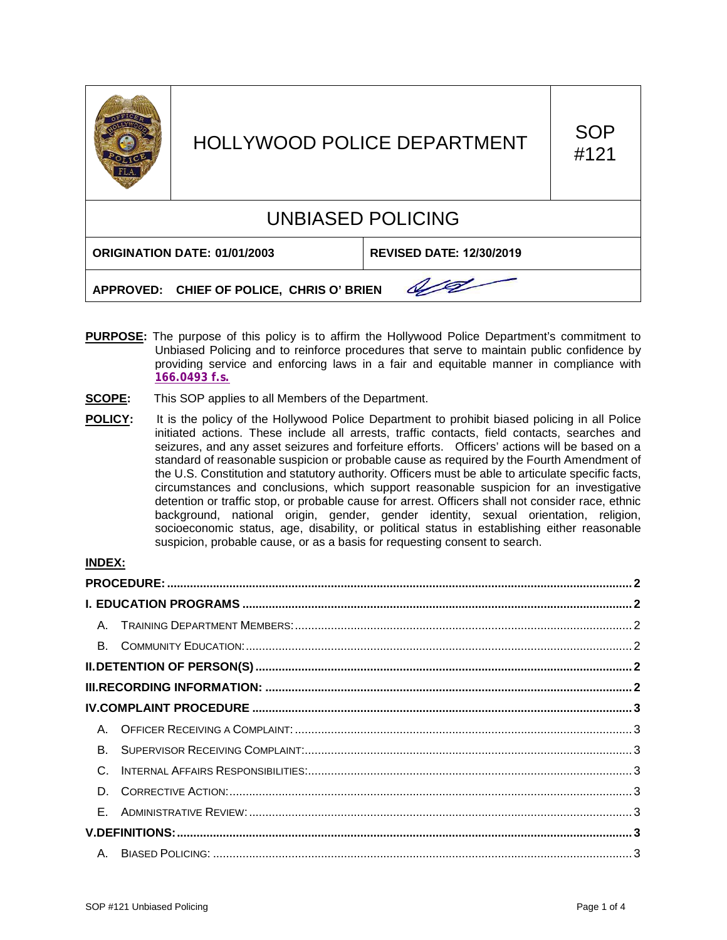

# HOLLYWOOD POLICE DEPARTMENT SOP

#121

# UNBIASED POLICING

**ORIGINATION DATE: 01/01/2003 REVISED DATE: 12/30/2019**

0/0

**APPROVED: CHIEF OF POLICE, CHRIS O' BRIEN**

- **PURPOSE:** The purpose of this policy is to affirm the Hollywood Police Department's commitment to Unbiased Policing and to reinforce procedures that serve to maintain public confidence by providing service and enforcing laws in a fair and equitable manner in compliance with **[166.0493 f.s.](http://www.leg.state.fl.us/statutes/index.cfm?mode=View%20Statutes&SubMenu=1&App_mode=Display_Statute&Search_String=166.0493&URL=0100-0199/0166/Sections/0166.0493.html)**
- **SCOPE:** This SOP applies to all Members of the Department.
- **POLICY:** It is the policy of the Hollywood Police Department to prohibit biased policing in all Police initiated actions. These include all arrests, traffic contacts, field contacts, searches and seizures, and any asset seizures and forfeiture efforts. Officers' actions will be based on a standard of reasonable suspicion or probable cause as required by the Fourth Amendment of the U.S. Constitution and statutory authority. Officers must be able to articulate specific facts, circumstances and conclusions, which support reasonable suspicion for an investigative detention or traffic stop, or probable cause for arrest. Officers shall not consider race, ethnic background, national origin, gender, gender identity, sexual orientation, religion, socioeconomic status, age, disability, or political status in establishing either reasonable suspicion, probable cause, or as a basis for requesting consent to search.

# **INDEX:**

| B <sub>1</sub> |  |  |  |
|----------------|--|--|--|
| $\mathsf{C}$   |  |  |  |
| D.             |  |  |  |
|                |  |  |  |
|                |  |  |  |
|                |  |  |  |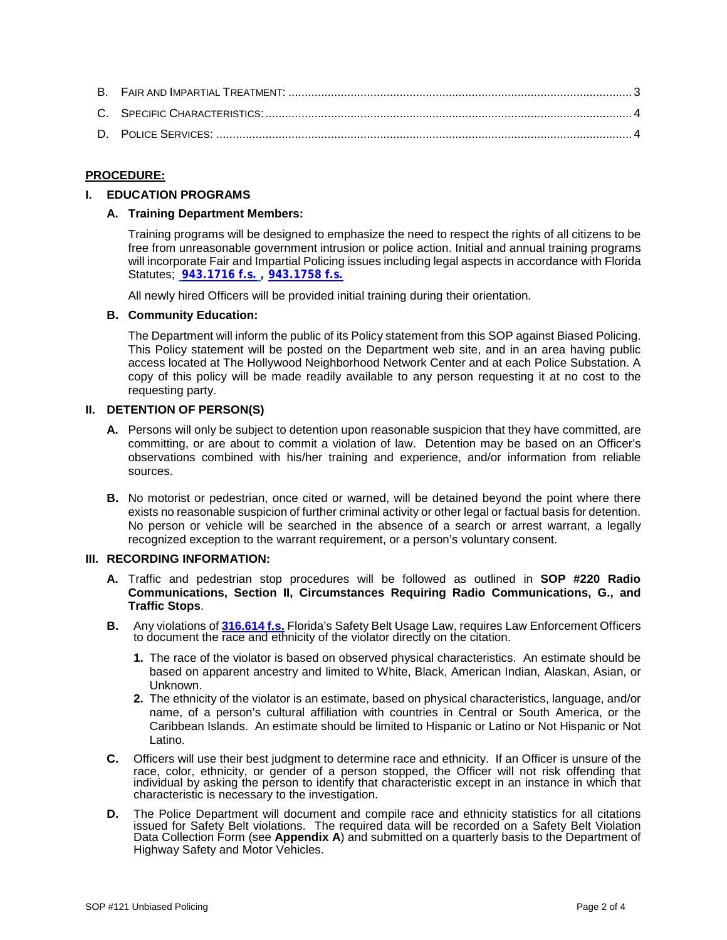# <span id="page-1-0"></span>**PROCEDURE:**

# <span id="page-1-2"></span><span id="page-1-1"></span>**I. EDUCATION PROGRAMS**

# **A. Training Department Members:**

Training programs will be designed to emphasize the need to respect the rights of all citizens to be free from unreasonable government intrusion or police action. Initial and annual training programs will incorporate Fair and Impartial Policing issues including legal aspects in accordance with Florida Statutes; **[943.1716 f.s.](http://www.leg.state.fl.us/statutes/index.cfm?mode=View%20Statutes&SubMenu=1&App_mode=Display_Statute&Search_String=943.1716&URL=0900-0999/0943/Sections/0943.1716.html) , [943.1758 f.s.](http://www.leg.state.fl.us/statutes/index.cfm?mode=View%20Statutes&SubMenu=1&App_mode=Display_Statute&Search_String=943.1758&URL=0900-0999/0943/Sections/0943.1758.html)**

All newly hired Officers will be provided initial training during their orientation.

# <span id="page-1-3"></span>**B. Community Education:**

The Department will inform the public of its Policy statement from this SOP against Biased Policing. This Policy statement will be posted on the Department web site, and in an area having public access located at The Hollywood Neighborhood Network Center and at each Police Substation. A copy of this policy will be made readily available to any person requesting it at no cost to the requesting party.

# <span id="page-1-4"></span>**II. DETENTION OF PERSON(S)**

- **A.** Persons will only be subject to detention upon reasonable suspicion that they have committed, are committing, or are about to commit a violation of law. Detention may be based on an Officer's observations combined with his/her training and experience, and/or information from reliable sources.
- **B.** No motorist or pedestrian, once cited or warned, will be detained beyond the point where there exists no reasonable suspicion of further criminal activity or other legal or factual basis for detention. No person or vehicle will be searched in the absence of a search or arrest warrant, a legally recognized exception to the warrant requirement, or a person's voluntary consent.

# <span id="page-1-5"></span>**III. RECORDING INFORMATION:**

- **A.** Traffic and pedestrian stop procedures will be followed as outlined in **SOP #220 Radio Communications, Section II, Circumstances Requiring Radio Communications, G., and Traffic Stops**.
- **B.** Any violations of **[316.614 f.s.](http://www.leg.state.fl.us/statutes/index.cfm?mode=View%20Statutes&SubMenu=1&App_mode=Display_Statute&Search_String=316.614&URL=0300-0399/0316/Sections/0316.614.html)** Florida's Safety Belt Usage Law, requires Law Enforcement Officers to document the race and ethnicity of the violator directly on the citation.
	- **1.** The race of the violator is based on observed physical characteristics. An estimate should be based on apparent ancestry and limited to White, Black, American Indian, Alaskan, Asian, or Unknown.
	- **2.** The ethnicity of the violator is an estimate, based on physical characteristics, language, and/or name, of a person's cultural affiliation with countries in Central or South America, or the Caribbean Islands. An estimate should be limited to Hispanic or Latino or Not Hispanic or Not Latino.
- **C.** Officers will use their best judgment to determine race and ethnicity. If an Officer is unsure of the race, color, ethnicity, or gender of a person stopped, the Officer will not risk offending that individual by asking the person to identify that characteristic except in an instance in which that characteristic is necessary to the investigation.
- **D.** The Police Department will document and compile race and ethnicity statistics for all citations issued for Safety Belt violations. The required data will be recorded on a Safety Belt Violation Data Collection Form (see **Appendix A**) and submitted on a quarterly basis to the Department of Highway Safety and Motor Vehicles.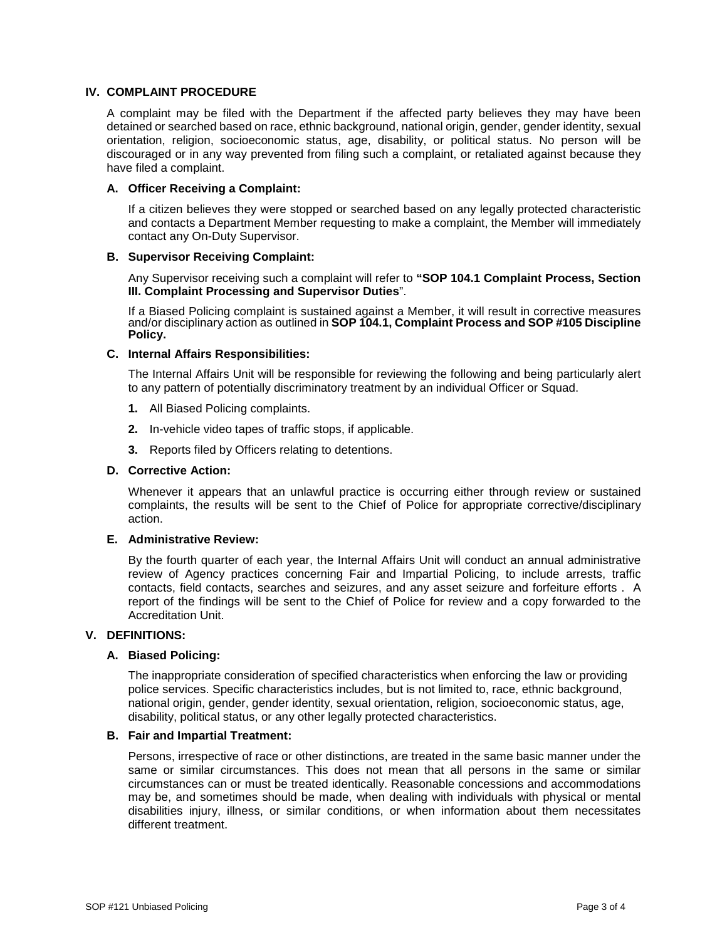# <span id="page-2-0"></span>**IV. COMPLAINT PROCEDURE**

A complaint may be filed with the Department if the affected party believes they may have been detained or searched based on race, ethnic background, national origin, gender, gender identity, sexual orientation, religion, socioeconomic status, age, disability, or political status. No person will be discouraged or in any way prevented from filing such a complaint, or retaliated against because they have filed a complaint.

#### <span id="page-2-1"></span>**A. Officer Receiving a Complaint:**

If a citizen believes they were stopped or searched based on any legally protected characteristic and contacts a Department Member requesting to make a complaint, the Member will immediately contact any On-Duty Supervisor.

#### <span id="page-2-2"></span>**B. Supervisor Receiving Complaint:**

Any Supervisor receiving such a complaint will refer to **"SOP 104.1 Complaint Process, Section III. Complaint Processing and Supervisor Duties**".

If a Biased Policing complaint is sustained against a Member, it will result in corrective measures and/or disciplinary action as outlined in **SOP 104.1, Complaint Process and SOP #105 Discipline Policy.**

#### <span id="page-2-3"></span>**C. Internal Affairs Responsibilities:**

The Internal Affairs Unit will be responsible for reviewing the following and being particularly alert to any pattern of potentially discriminatory treatment by an individual Officer or Squad.

- **1.** All Biased Policing complaints.
- **2.** In-vehicle video tapes of traffic stops, if applicable.
- **3.** Reports filed by Officers relating to detentions.

#### <span id="page-2-4"></span>**D. Corrective Action:**

Whenever it appears that an unlawful practice is occurring either through review or sustained complaints, the results will be sent to the Chief of Police for appropriate corrective/disciplinary action.

# <span id="page-2-5"></span>**E. Administrative Review:**

By the fourth quarter of each year, the Internal Affairs Unit will conduct an annual administrative review of Agency practices concerning Fair and Impartial Policing, to include arrests, traffic contacts, field contacts, searches and seizures, and any asset seizure and forfeiture efforts . A report of the findings will be sent to the Chief of Police for review and a copy forwarded to the Accreditation Unit.

#### <span id="page-2-7"></span><span id="page-2-6"></span>**V. DEFINITIONS:**

#### **A. Biased Policing:**

The inappropriate consideration of specified characteristics when enforcing the law or providing police services. Specific characteristics includes, but is not limited to, race, ethnic background, national origin, gender, gender identity, sexual orientation, religion, socioeconomic status, age, disability, political status, or any other legally protected characteristics.

#### <span id="page-2-8"></span>**B. Fair and Impartial Treatment:**

Persons, irrespective of race or other distinctions, are treated in the same basic manner under the same or similar circumstances. This does not mean that all persons in the same or similar circumstances can or must be treated identically. Reasonable concessions and accommodations may be, and sometimes should be made, when dealing with individuals with physical or mental disabilities injury, illness, or similar conditions, or when information about them necessitates different treatment.